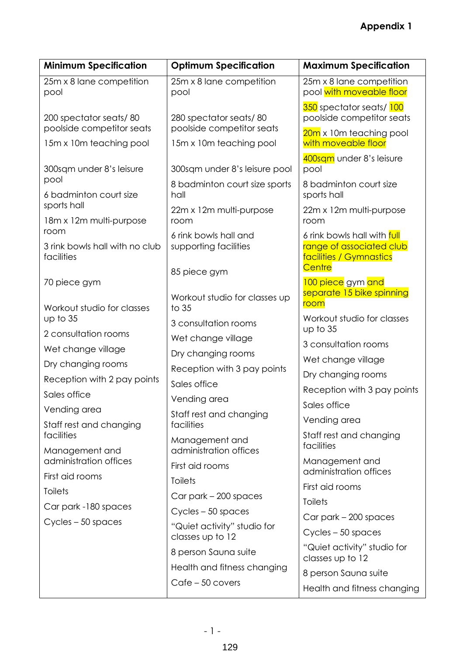| <b>Minimum Specification</b>                         | <b>Optimum Specification</b>                                   | <b>Maximum Specification</b>                                                       |
|------------------------------------------------------|----------------------------------------------------------------|------------------------------------------------------------------------------------|
| 25m x 8 lane competition<br>pool                     | 25m x 8 lane competition<br>pool                               | 25m x 8 lane competition<br>pool with moveable floor                               |
| 200 spectator seats/80<br>poolside competitor seats  | 280 spectator seats/80<br>poolside competitor seats            | 350 spectator seats/100<br>poolside competitor seats                               |
| 15m x 10m teaching pool                              | 15m x 10m teaching pool                                        | 20m x 10m teaching pool<br>with moveable floor                                     |
| 300sqm under 8's leisure<br>pool                     | 300sqm under 8's leisure pool<br>8 badminton court size sports | 400sqm under 8's leisure<br>pool<br>8 badminton court size                         |
| 6 badminton court size<br>sports hall                | hall                                                           | sports hall                                                                        |
| 18m x 12m multi-purpose                              | 22m x 12m multi-purpose<br>room                                | 22m x 12m multi-purpose<br>room                                                    |
| room<br>3 rink bowls hall with no club<br>facilities | 6 rink bowls hall and<br>supporting facilities                 | 6 rink bowls hall with full<br>range of associated club<br>facilities / Gymnastics |
| 70 piece gym                                         | 85 piece gym                                                   | Centre<br>100 piece gym and                                                        |
| Workout studio for classes                           | Workout studio for classes up<br>to 35                         | separate 15 bike spinning<br>room                                                  |
| up to 35                                             | 3 consultation rooms                                           | Workout studio for classes<br>up to 35                                             |
| 2 consultation rooms                                 | Wet change village                                             | 3 consultation rooms                                                               |
| Wet change village                                   | Dry changing rooms                                             | Wet change village                                                                 |
| Dry changing rooms                                   | Reception with 3 pay points                                    | Dry changing rooms                                                                 |
| Reception with 2 pay points                          | Sales office                                                   | Reception with 3 pay points                                                        |
| Sales office                                         | Vending area                                                   | Sales office                                                                       |
| Vending area                                         | Staff rest and changing                                        | Vending area                                                                       |
| Staff rest and changing<br>facilities                | facilities                                                     | Staff rest and changing                                                            |
| Management and                                       | Management and<br>administration offices                       | facilities                                                                         |
| administration offices<br>First aid rooms            | First aid rooms                                                | Management and<br>administration offices                                           |
| <b>Toilets</b>                                       | <b>Toilets</b>                                                 | First aid rooms                                                                    |
| Car park -180 spaces                                 | Car park - 200 spaces                                          | <b>Toilets</b>                                                                     |
| Cycles - 50 spaces                                   | Cycles - 50 spaces                                             | Car park - 200 spaces                                                              |
|                                                      | "Quiet activity" studio for<br>classes up to 12                | Cycles - 50 spaces                                                                 |
|                                                      | 8 person Sauna suite                                           | "Quiet activity" studio for<br>classes up to 12                                    |
|                                                      | Health and fitness changing                                    | 8 person Sauna suite                                                               |
|                                                      | Cafe - 50 covers                                               | Health and fitness changing                                                        |